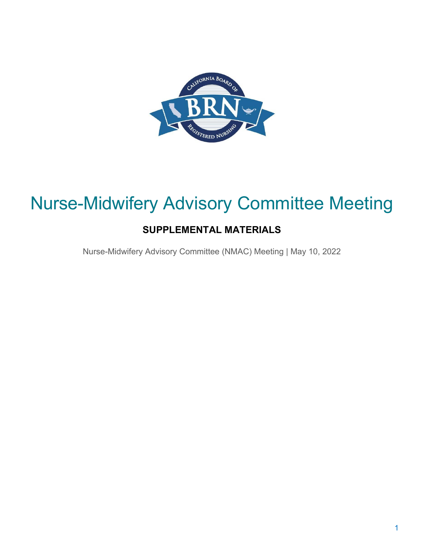

# Nurse-Midwifery Advisory Committee Meeting

# **SUPPLEMENTAL MATERIALS**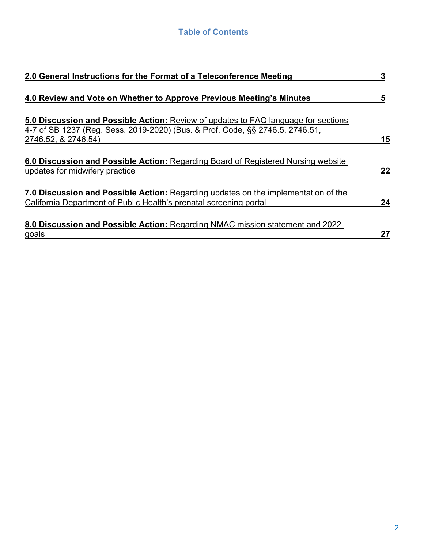| 2.0 General Instructions for the Format of a Teleconference Meeting                                                                                                 |    |  |  |  |
|---------------------------------------------------------------------------------------------------------------------------------------------------------------------|----|--|--|--|
| 4.0 Review and Vote on Whether to Approve Previous Meeting's Minutes                                                                                                | 5  |  |  |  |
| 5.0 Discussion and Possible Action: Review of updates to FAQ language for sections<br>4-7 of SB 1237 (Reg. Sess. 2019-2020) (Bus. & Prof. Code, §§ 2746.5, 2746.51, |    |  |  |  |
| 2746.52, & 2746.54)                                                                                                                                                 | 15 |  |  |  |
| 6.0 Discussion and Possible Action: Regarding Board of Registered Nursing website<br>updates for midwifery practice                                                 | 22 |  |  |  |
| 7.0 Discussion and Possible Action: Regarding updates on the implementation of the<br>California Department of Public Health's prenatal screening portal            | 24 |  |  |  |
| 8.0 Discussion and Possible Action: Regarding NMAC mission statement and 2022<br>goals                                                                              | 27 |  |  |  |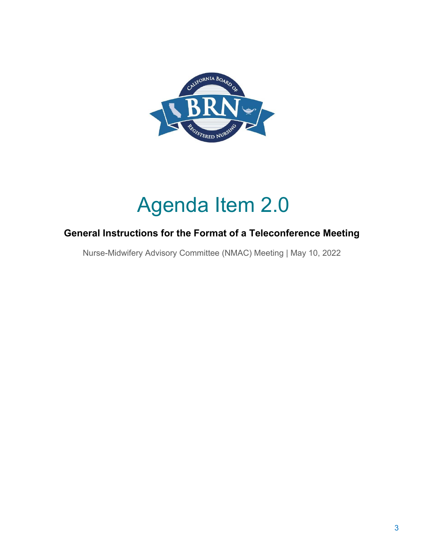

# Agenda Item 2.0

### **General Instructions for the Format of a Teleconference Meeting**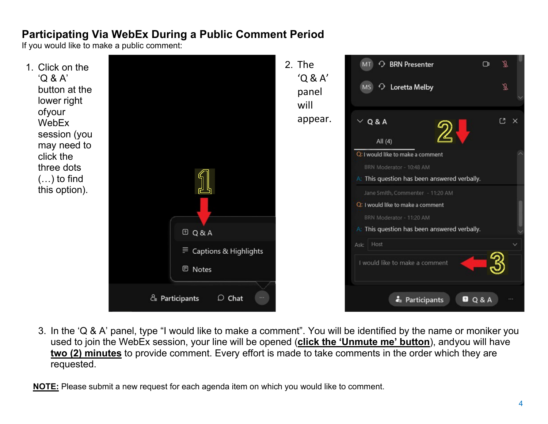# **Participating Via WebEx During a Public Comment Period**

If you would like to make a public comment:



 3. In the 'Q & A' panel, type "I would like to make a comment". You will be identified by the name or moniker you used to join the WebEx session, your line will be opened (**click the 'Unmute me' button**), andyou will have  **two (2) minutes** to provide comment. Every effort is made to take comments in the order which they are requested.

**NOTE:** Please submit a new request for each agenda item on which you would like to comment.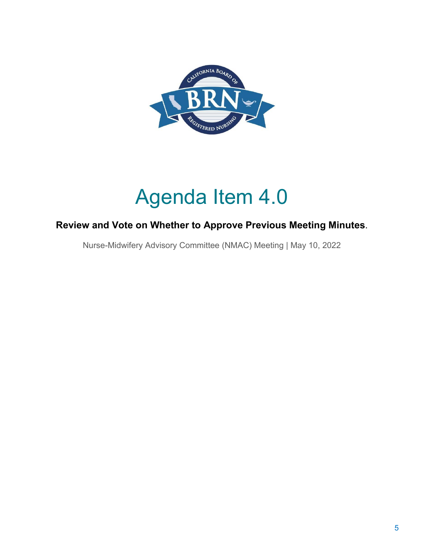

# Agenda Item 4.0

## **Review and Vote on Whether to Approve Previous Meeting Minutes**.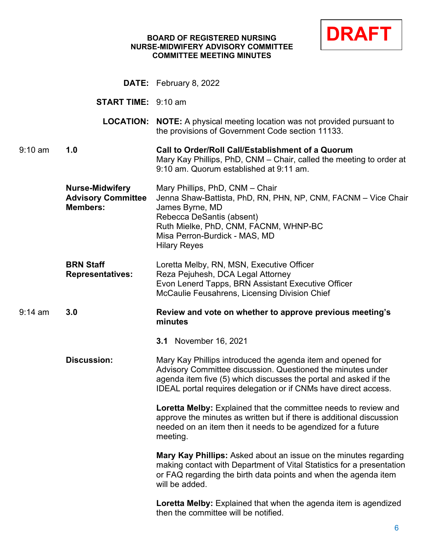## **NURSE-MIDWIFERY ADVISORY COMMITTEE COMMITTEE MEETING MINUTES**



|           |                                                                        | <b>DATE:</b> February 8, 2022                                                                                                                                                                                                                                     |
|-----------|------------------------------------------------------------------------|-------------------------------------------------------------------------------------------------------------------------------------------------------------------------------------------------------------------------------------------------------------------|
|           | <b>START TIME:</b> 9:10 am                                             |                                                                                                                                                                                                                                                                   |
|           | <b>LOCATION:</b>                                                       | <b>NOTE:</b> A physical meeting location was not provided pursuant to<br>the provisions of Government Code section 11133.                                                                                                                                         |
| $9:10$ am | 1.0                                                                    | Call to Order/Roll Call/Establishment of a Quorum<br>Mary Kay Phillips, PhD, CNM – Chair, called the meeting to order at<br>9:10 am. Quorum established at 9:11 am.                                                                                               |
|           | <b>Nurse-Midwifery</b><br><b>Advisory Committee</b><br><b>Members:</b> | Mary Phillips, PhD, CNM - Chair<br>Jenna Shaw-Battista, PhD, RN, PHN, NP, CNM, FACNM – Vice Chair<br>James Byrne, MD<br>Rebecca DeSantis (absent)<br>Ruth Mielke, PhD, CNM, FACNM, WHNP-BC<br>Misa Perron-Burdick - MAS, MD<br><b>Hilary Reyes</b>                |
|           | <b>BRN Staff</b><br><b>Representatives:</b>                            | Loretta Melby, RN, MSN, Executive Officer<br>Reza Pejuhesh, DCA Legal Attorney<br>Evon Lenerd Tapps, BRN Assistant Executive Officer<br>McCaulie Feusahrens, Licensing Division Chief                                                                             |
| $9:14$ am | 3.0                                                                    | Review and vote on whether to approve previous meeting's<br>minutes                                                                                                                                                                                               |
|           |                                                                        | <b>3.1</b> November 16, 2021                                                                                                                                                                                                                                      |
|           | <b>Discussion:</b>                                                     | Mary Kay Phillips introduced the agenda item and opened for<br>Advisory Committee discussion. Questioned the minutes under<br>agenda item five (5) which discusses the portal and asked if the<br>IDEAL portal requires delegation or if CNMs have direct access. |
|           |                                                                        | Loretta Melby: Explained that the committee needs to review and<br>approve the minutes as written but if there is additional discussion<br>needed on an item then it needs to be agendized for a future<br>meeting.                                               |
|           |                                                                        | Mary Kay Phillips: Asked about an issue on the minutes regarding<br>making contact with Department of Vital Statistics for a presentation<br>or FAQ regarding the birth data points and when the agenda item<br>will be added.                                    |
|           |                                                                        | Loretta Melby: Explained that when the agenda item is agendized<br>then the committee will be notified.                                                                                                                                                           |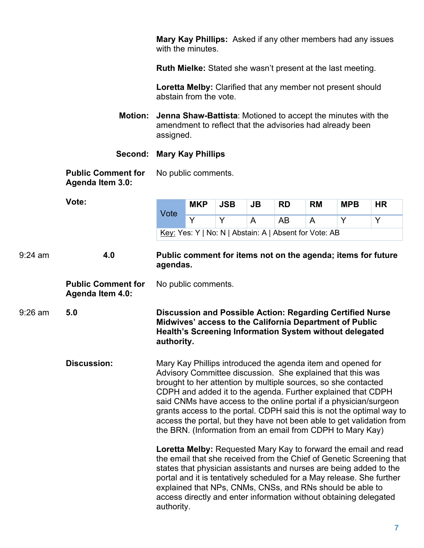**Mary Kay Phillips:** Asked if any other members had any issues with the minutes.

**Ruth Mielke:** Stated she wasn't present at the last meeting.

 **Loretta Melby:** Clarified that any member not present should abstain from the vote.

- amendment to reflect that the advisories had already been **Motion: Jenna Shaw-Battista**: Motioned to accept the minutes with the assigned.
- **Second: Mary Kay Phillips**

**Public Comment for** No public comments. **Agenda Item 3.0:** 

|                                                                      | Vote:              |            | <b>MKP</b> | <b>JSB</b>                                             | <b>JB</b> | <b>RD</b> | <b>RM</b>                                                    | <b>MPB</b>                                                                                                                                                                                                                                                                                                                                                                                     | <b>HR</b>                                                                                                                                      |
|----------------------------------------------------------------------|--------------------|------------|------------|--------------------------------------------------------|-----------|-----------|--------------------------------------------------------------|------------------------------------------------------------------------------------------------------------------------------------------------------------------------------------------------------------------------------------------------------------------------------------------------------------------------------------------------------------------------------------------------|------------------------------------------------------------------------------------------------------------------------------------------------|
|                                                                      |                    | Vote       | Y          | Y                                                      | A         | AB        | A                                                            | Y                                                                                                                                                                                                                                                                                                                                                                                              | Y                                                                                                                                              |
|                                                                      |                    |            |            | Key: Yes: Y   No: N   Abstain: A   Absent for Vote: AB |           |           |                                                              |                                                                                                                                                                                                                                                                                                                                                                                                |                                                                                                                                                |
| $9:24$ am                                                            | 4.0                | agendas.   |            |                                                        |           |           | Public comment for items not on the agenda; items for future |                                                                                                                                                                                                                                                                                                                                                                                                |                                                                                                                                                |
| <b>Public Comment for</b><br>No public comments.<br>Agenda Item 4.0: |                    |            |            |                                                        |           |           |                                                              |                                                                                                                                                                                                                                                                                                                                                                                                |                                                                                                                                                |
| 9:26 am                                                              | 5.0                | authority. |            |                                                        |           |           |                                                              | Discussion and Possible Action: Regarding Certified Nurse<br>Midwives' access to the California Department of Public<br><b>Health's Screening Information System without delegated</b>                                                                                                                                                                                                         |                                                                                                                                                |
|                                                                      | <b>Discussion:</b> |            |            |                                                        |           |           |                                                              | Mary Kay Phillips introduced the agenda item and opened for<br>Advisory Committee discussion. She explained that this was<br>brought to her attention by multiple sources, so she contacted<br>CDPH and added it to the agenda. Further explained that CDPH<br>said CNMs have access to the online portal if a physician/surgeon<br>the BRN. (Information from an email from CDPH to Mary Kay) | grants access to the portal. CDPH said this is not the optimal way to<br>access the portal, but they have not been able to get validation from |
|                                                                      |                    | authority. |            |                                                        |           |           |                                                              | states that physician assistants and nurses are being added to the<br>portal and it is tentatively scheduled for a May release. She further<br>explained that NPs, CNMs, CNSs, and RNs should be able to<br>access directly and enter information without obtaining delegated                                                                                                                  | Loretta Melby: Requested Mary Kay to forward the email and read<br>the email that she received from the Chief of Genetic Screening that        |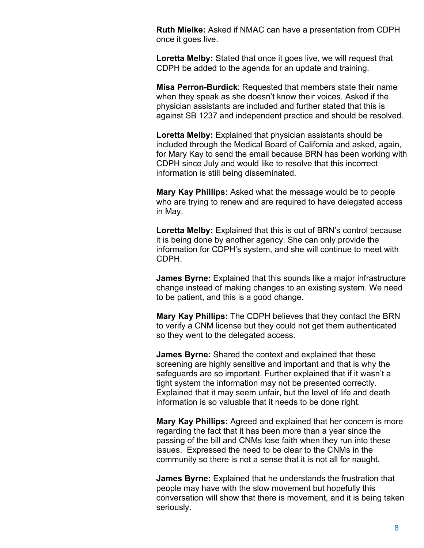**Ruth Mielke:** Asked if NMAC can have a presentation from CDPH once it goes live.

 **Loretta Melby:** Stated that once it goes live, we will request that CDPH be added to the agenda for an update and training.

**Misa Perron-Burdick**: Requested that members state their name when they speak as she doesn't know their voices. Asked if the physician assistants are included and further stated that this is against SB 1237 and independent practice and should be resolved.

**Loretta Melby:** Explained that physician assistants should be included through the Medical Board of California and asked, again, for Mary Kay to send the email because BRN has been working with CDPH since July and would like to resolve that this incorrect information is still being disseminated.

**Mary Kay Phillips:** Asked what the message would be to people who are trying to renew and are required to have delegated access in May.

 **Loretta Melby:** Explained that this is out of BRN's control because CDPH. it is being done by another agency. She can only provide the information for CDPH's system, and she will continue to meet with

 to be patient, and this is a good change. **James Byrne:** Explained that this sounds like a major infrastructure change instead of making changes to an existing system. We need

 to verify a CNM license but they could not get them authenticated **Mary Kay Phillips:** The CDPH believes that they contact the BRN so they went to the delegated access.

**James Byrne:** Shared the context and explained that these screening are highly sensitive and important and that is why the safeguards are so important. Further explained that if it wasn't a tight system the information may not be presented correctly. Explained that it may seem unfair, but the level of life and death information is so valuable that it needs to be done right.

 community so there is not a sense that it is not all for naught. **Mary Kay Phillips:** Agreed and explained that her concern is more regarding the fact that it has been more than a year since the passing of the bill and CNMs lose faith when they run into these issues. Expressed the need to be clear to the CNMs in the

 people may have with the slow movement but hopefully this conversation will show that there is movement, and it is being taken **James Byrne:** Explained that he understands the frustration that seriously.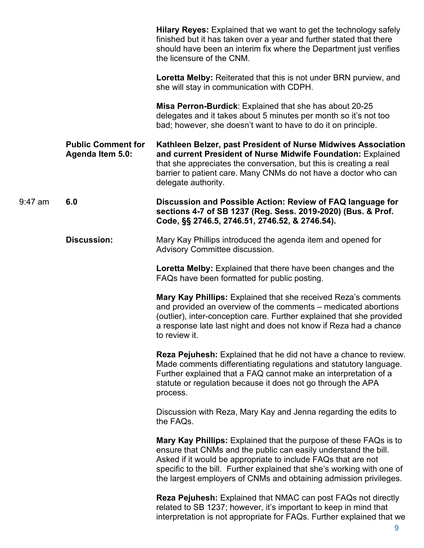|           |                                                      | Hilary Reyes: Explained that we want to get the technology safely<br>finished but it has taken over a year and further stated that there<br>should have been an interim fix where the Department just verifies<br>the licensure of the CNM.                                                                                                                 |
|-----------|------------------------------------------------------|-------------------------------------------------------------------------------------------------------------------------------------------------------------------------------------------------------------------------------------------------------------------------------------------------------------------------------------------------------------|
|           |                                                      | <b>Loretta Melby:</b> Reiterated that this is not under BRN purview, and<br>she will stay in communication with CDPH.                                                                                                                                                                                                                                       |
|           |                                                      | Misa Perron-Burdick: Explained that she has about 20-25<br>delegates and it takes about 5 minutes per month so it's not too<br>bad; however, she doesn't want to have to do it on principle.                                                                                                                                                                |
|           | <b>Public Comment for</b><br><b>Agenda Item 5.0:</b> | Kathleen Belzer, past President of Nurse Midwives Association<br>and current President of Nurse Midwife Foundation: Explained<br>that she appreciates the conversation, but this is creating a real<br>barrier to patient care. Many CNMs do not have a doctor who can<br>delegate authority.                                                               |
| $9:47$ am | 6.0                                                  | Discussion and Possible Action: Review of FAQ language for<br>sections 4-7 of SB 1237 (Reg. Sess. 2019-2020) (Bus. & Prof.<br>Code, §§ 2746.5, 2746.51, 2746.52, & 2746.54).                                                                                                                                                                                |
|           | <b>Discussion:</b>                                   | Mary Kay Phillips introduced the agenda item and opened for<br>Advisory Committee discussion.                                                                                                                                                                                                                                                               |
|           |                                                      | Loretta Melby: Explained that there have been changes and the<br>FAQs have been formatted for public posting.                                                                                                                                                                                                                                               |
|           |                                                      | Mary Kay Phillips: Explained that she received Reza's comments<br>and provided an overview of the comments – medicated abortions<br>(outlier), inter-conception care. Further explained that she provided<br>a response late last night and does not know if Reza had a chance<br>to review it.                                                             |
|           |                                                      | <b>Reza Pejuhesh:</b> Explained that he did not have a chance to review.<br>Made comments differentiating regulations and statutory language.<br>Further explained that a FAQ cannot make an interpretation of a<br>statute or regulation because it does not go through the APA<br>process.                                                                |
|           |                                                      | Discussion with Reza, Mary Kay and Jenna regarding the edits to<br>the FAQs.                                                                                                                                                                                                                                                                                |
|           |                                                      | <b>Mary Kay Phillips:</b> Explained that the purpose of these FAQs is to<br>ensure that CNMs and the public can easily understand the bill.<br>Asked if it would be appropriate to include FAQs that are not<br>specific to the bill. Further explained that she's working with one of<br>the largest employers of CNMs and obtaining admission privileges. |
|           |                                                      | <b>Reza Pejuhesh:</b> Explained that NMAC can post FAQs not directly<br>related to SB 1237; however, it's important to keep in mind that<br>interpretation is not appropriate for FAQs. Further explained that we                                                                                                                                           |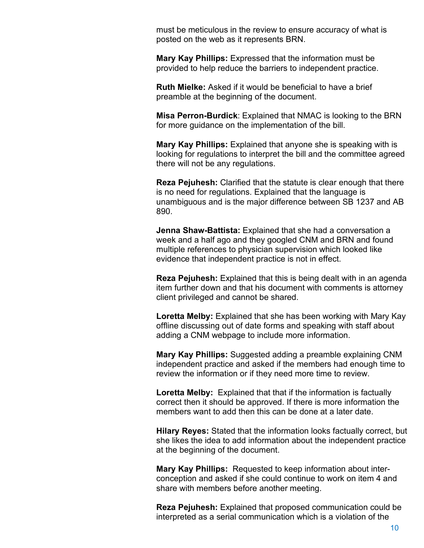must be meticulous in the review to ensure accuracy of what is posted on the web as it represents BRN.

 provided to help reduce the barriers to independent practice. **Mary Kay Phillips:** Expressed that the information must be

**Ruth Mielke:** Asked if it would be beneficial to have a brief preamble at the beginning of the document.

 for more guidance on the implementation of the bill. **Misa Perron-Burdick**: Explained that NMAC is looking to the BRN

 looking for regulations to interpret the bill and the committee agreed **Mary Kay Phillips:** Explained that anyone she is speaking with is there will not be any regulations.

**Reza Pejuhesh:** Clarified that the statute is clear enough that there is no need for regulations. Explained that the language is unambiguous and is the major difference between SB 1237 and AB 890.

**Jenna Shaw-Battista:** Explained that she had a conversation a week and a half ago and they googled CNM and BRN and found multiple references to physician supervision which looked like evidence that independent practice is not in effect.

**Reza Pejuhesh:** Explained that this is being dealt with in an agenda item further down and that his document with comments is attorney client privileged and cannot be shared.

 offline discussing out of date forms and speaking with staff about **Loretta Melby:** Explained that she has been working with Mary Kay adding a CNM webpage to include more information.

**Mary Kay Phillips:** Suggested adding a preamble explaining CNM independent practice and asked if the members had enough time to review the information or if they need more time to review.

 **Loretta Melby:** Explained that that if the information is factually correct then it should be approved. If there is more information the members want to add then this can be done at a later date.

 **Hilary Reyes:** Stated that the information looks factually correct, but she likes the idea to add information about the independent practice at the beginning of the document.

 **Mary Kay Phillips:** Requested to keep information about inter- conception and asked if she could continue to work on item 4 and share with members before another meeting.

**Reza Pejuhesh:** Explained that proposed communication could be interpreted as a serial communication which is a violation of the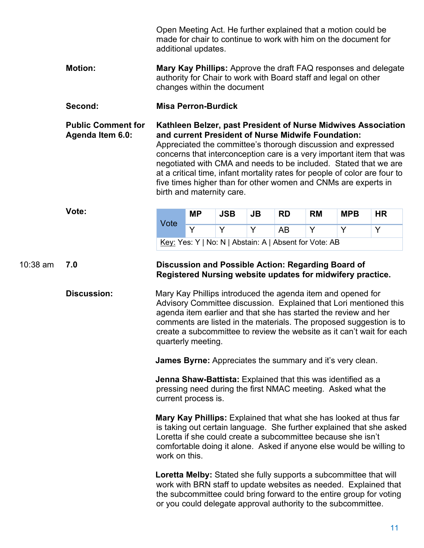|                                                                                                                                  |                           | Open Meeting Act. He further explained that a motion could be<br>made for chair to continue to work with him on the document for<br>additional updates.                                                                                                                                                    |                             |            |    |                                                                                                                                                                                                                                                                                                                                                                                                                            |           |                                                                  |                                                                 |  |
|----------------------------------------------------------------------------------------------------------------------------------|---------------------------|------------------------------------------------------------------------------------------------------------------------------------------------------------------------------------------------------------------------------------------------------------------------------------------------------------|-----------------------------|------------|----|----------------------------------------------------------------------------------------------------------------------------------------------------------------------------------------------------------------------------------------------------------------------------------------------------------------------------------------------------------------------------------------------------------------------------|-----------|------------------------------------------------------------------|-----------------------------------------------------------------|--|
|                                                                                                                                  | <b>Motion:</b>            |                                                                                                                                                                                                                                                                                                            | changes within the document |            |    |                                                                                                                                                                                                                                                                                                                                                                                                                            |           | authority for Chair to work with Board staff and legal on other  | Mary Kay Phillips: Approve the draft FAQ responses and delegate |  |
|                                                                                                                                  | Second:                   |                                                                                                                                                                                                                                                                                                            | <b>Misa Perron-Burdick</b>  |            |    |                                                                                                                                                                                                                                                                                                                                                                                                                            |           |                                                                  |                                                                 |  |
| <b>Public Comment for</b><br>and current President of Nurse Midwife Foundation:<br>Agenda Item 6.0:<br>birth and maternity care. |                           |                                                                                                                                                                                                                                                                                                            |                             |            |    | Kathleen Belzer, past President of Nurse Midwives Association<br>Appreciated the committee's thorough discussion and expressed<br>concerns that interconception care is a very important item that was<br>negotiated with CMA and needs to be included. Stated that we are<br>at a critical time, infant mortality rates for people of color are four to<br>five times higher than for other women and CNMs are experts in |           |                                                                  |                                                                 |  |
|                                                                                                                                  | Vote:                     |                                                                                                                                                                                                                                                                                                            | <b>MP</b>                   | <b>JSB</b> | JB | <b>RD</b>                                                                                                                                                                                                                                                                                                                                                                                                                  | <b>RM</b> | <b>MPB</b>                                                       | <b>HR</b>                                                       |  |
|                                                                                                                                  |                           | Vote                                                                                                                                                                                                                                                                                                       | Y                           | Y          | Y  | AB                                                                                                                                                                                                                                                                                                                                                                                                                         | Y         | Y                                                                | Y                                                               |  |
|                                                                                                                                  |                           | Key: Yes: Y   No: N   Abstain: A   Absent for Vote: AB                                                                                                                                                                                                                                                     |                             |            |    |                                                                                                                                                                                                                                                                                                                                                                                                                            |           |                                                                  |                                                                 |  |
| $10:38$ am                                                                                                                       | 7.0<br><b>Discussion:</b> | Discussion and Possible Action: Regarding Board of<br>Registered Nursing website updates for midwifery practice.<br>Mary Kay Phillips introduced the agenda item and opened for                                                                                                                            |                             |            |    |                                                                                                                                                                                                                                                                                                                                                                                                                            |           |                                                                  |                                                                 |  |
|                                                                                                                                  |                           | Advisory Committee discussion. Explained that Lori mentioned this<br>agenda item earlier and that she has started the review and her<br>comments are listed in the materials. The proposed suggestion is to<br>create a subcommittee to review the website as it can't wait for each<br>quarterly meeting. |                             |            |    |                                                                                                                                                                                                                                                                                                                                                                                                                            |           |                                                                  |                                                                 |  |
|                                                                                                                                  |                           |                                                                                                                                                                                                                                                                                                            |                             |            |    |                                                                                                                                                                                                                                                                                                                                                                                                                            |           | <b>James Byrne:</b> Appreciates the summary and it's very clean. |                                                                 |  |
|                                                                                                                                  |                           | <b>Jenna Shaw-Battista:</b> Explained that this was identified as a<br>pressing need during the first NMAC meeting. Asked what the<br>current process is.                                                                                                                                                  |                             |            |    |                                                                                                                                                                                                                                                                                                                                                                                                                            |           |                                                                  |                                                                 |  |
|                                                                                                                                  |                           | <b>Mary Kay Phillips:</b> Explained that what she has looked at thus far<br>is taking out certain language. She further explained that she asked<br>Loretta if she could create a subcommittee because she isn't<br>comfortable doing it alone. Asked if anyone else would be willing to<br>work on this.  |                             |            |    |                                                                                                                                                                                                                                                                                                                                                                                                                            |           |                                                                  |                                                                 |  |
|                                                                                                                                  |                           | Loretta Melby: Stated she fully supports a subcommittee that will<br>work with BRN staff to update websites as needed. Explained that<br>the subcommittee could bring forward to the entire group for voting<br>or you could delegate approval authority to the subcommittee.                              |                             |            |    |                                                                                                                                                                                                                                                                                                                                                                                                                            |           |                                                                  |                                                                 |  |
|                                                                                                                                  |                           |                                                                                                                                                                                                                                                                                                            |                             |            |    |                                                                                                                                                                                                                                                                                                                                                                                                                            |           |                                                                  | 11                                                              |  |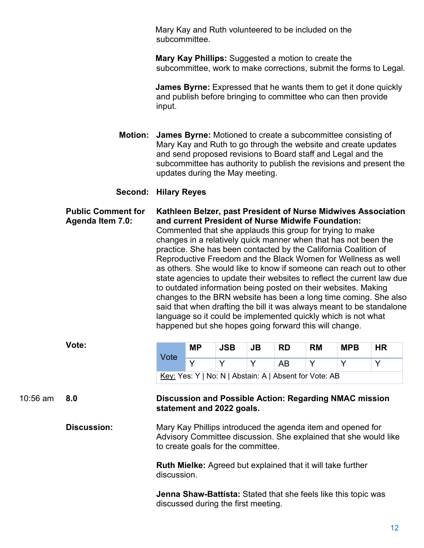Mary Kay and Ruth volunteered to be included on the subcommittee.

**Mary Kay Phillips:** Suggested a motion to create the subcommittee, work to make corrections, submit the forms to Legal.

 **James Byrne:** Expressed that he wants them to get it done quickly and publish before bringing to committee who can then provide input.

 updates during the May meeting. **Motion: James Byrne:** Motioned to create a subcommittee consisting of Mary Kay and Ruth to go through the website and create updates and send proposed revisions to Board staff and Legal and the subcommittee has authority to publish the revisions and present the

#### **Second: Hilary Reyes**

 practice. She has been contacted by the California Coalition of Reproductive Freedom and the Black Women for Wellness as well **Public Comment for Kathleen Belzer, past President of Nurse Midwives Association Agenda Item 7.0: and current President of Nurse Midwife Foundation:**  Commented that she applauds this group for trying to make changes in a relatively quick manner when that has not been the as others. She would like to know if someone can reach out to other state agencies to update their websites to reflect the current law due to outdated information being posted on their websites. Making changes to the BRN website has been a long time coming. She also said that when drafting the bill it was always meant to be standalone language so it could be implemented quickly which is not what happened but she hopes going forward this will change.

|            | Vote:              |                                                                                   | <b>MP</b>                                                                                                                                                             | <b>JSB</b>                                             | JB | <b>RD</b> | <b>RM</b> | <b>MPB</b>                                                            | <b>HR</b> |  |  |  |
|------------|--------------------|-----------------------------------------------------------------------------------|-----------------------------------------------------------------------------------------------------------------------------------------------------------------------|--------------------------------------------------------|----|-----------|-----------|-----------------------------------------------------------------------|-----------|--|--|--|
|            |                    | Vote                                                                              | Y                                                                                                                                                                     | Y                                                      | Y  | <b>AB</b> | Y         | Y                                                                     | Y         |  |  |  |
|            |                    |                                                                                   |                                                                                                                                                                       | Key: Yes: Y   No: N   Abstain: A   Absent for Vote: AB |    |           |           |                                                                       |           |  |  |  |
| $10:56$ am | 8.0                |                                                                                   | Discussion and Possible Action: Regarding NMAC mission<br>statement and 2022 goals.                                                                                   |                                                        |    |           |           |                                                                       |           |  |  |  |
|            | <b>Discussion:</b> |                                                                                   | Mary Kay Phillips introduced the agenda item and opened for<br>Advisory Committee discussion. She explained that she would like<br>to create goals for the committee. |                                                        |    |           |           |                                                                       |           |  |  |  |
|            |                    | <b>Ruth Mielke:</b> Agreed but explained that it will take further<br>discussion. |                                                                                                                                                                       |                                                        |    |           |           |                                                                       |           |  |  |  |
|            |                    |                                                                                   |                                                                                                                                                                       | discussed during the first meeting.                    |    |           |           | <b>Jenna Shaw-Battista:</b> Stated that she feels like this topic was |           |  |  |  |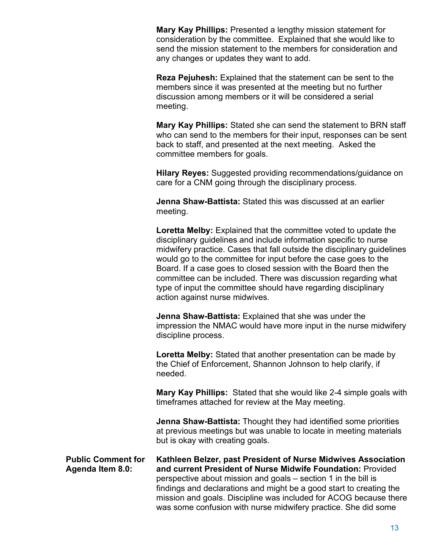consideration by the committee. Explained that she would like to any changes or updates they want to add. **Mary Kay Phillips:** Presented a lengthy mission statement for send the mission statement to the members for consideration and

 members since it was presented at the meeting but no further **Reza Pejuhesh:** Explained that the statement can be sent to the discussion among members or it will be considered a serial meeting.

 back to staff, and presented at the next meeting. Asked the committee members for goals. **Mary Kay Phillips:** Stated she can send the statement to BRN staff who can send to the members for their input, responses can be sent

**Hilary Reyes:** Suggested providing recommendations/guidance on care for a CNM going through the disciplinary process.

**Jenna Shaw-Battista:** Stated this was discussed at an earlier meeting.

**Loretta Melby:** Explained that the committee voted to update the disciplinary guidelines and include information specific to nurse midwifery practice. Cases that fall outside the disciplinary guidelines would go to the committee for input before the case goes to the Board. If a case goes to closed session with the Board then the committee can be included. There was discussion regarding what type of input the committee should have regarding disciplinary action against nurse midwives.

**Jenna Shaw-Battista:** Explained that she was under the impression the NMAC would have more input in the nurse midwifery discipline process.

**Loretta Melby:** Stated that another presentation can be made by the Chief of Enforcement, Shannon Johnson to help clarify, if needed.

 **Mary Kay Phillips:** Stated that she would like 2-4 simple goals with timeframes attached for review at the May meeting.

 at previous meetings but was unable to locate in meeting materials **Jenna Shaw-Battista:** Thought they had identified some priorities but is okay with creating goals.

**Public Comment for Agenda Item 8.0: Kathleen Belzer, past President of Nurse Midwives Association and current President of Nurse Midwife Foundation:** Provided perspective about mission and goals – section 1 in the bill is findings and declarations and might be a good start to creating the mission and goals. Discipline was included for ACOG because there was some confusion with nurse midwifery practice. She did some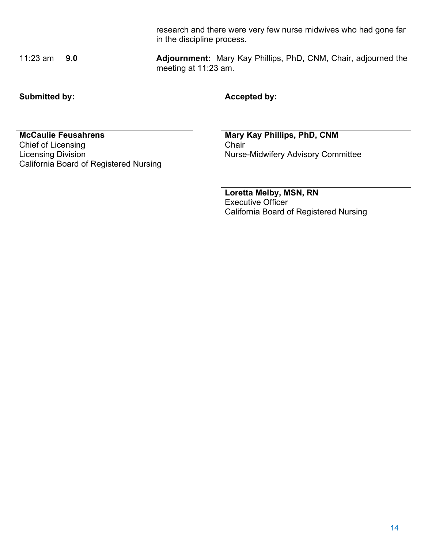11:23 am **9.0 Adjournment:** Mary Kay Phillips, PhD, CNM, Chair, adjourned the meeting at 11:23 am.

in the discipline process.

Submitted by: **Accepted by: Accepted by:** 

**McCaulie Feusahrens Mary Kay Phillips, PhD, CNM**<br>
Chief of Licensing<br>
Chair Chief of Licensing<br>Licensing Division California Board of Registered Nursing

Nurse-Midwifery Advisory Committee

research and there were very few nurse midwives who had gone far

**Loretta Melby, MSN, RN**  Executive Officer California Board of Registered Nursing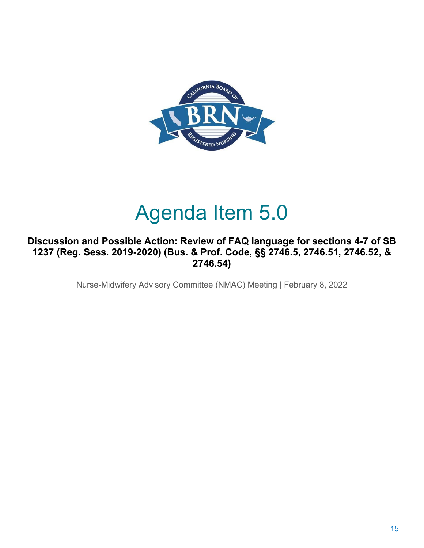

# Agenda Item 5.0

### **Discussion and Possible Action: Review of FAQ language for sections 4-7 of SB 1237 (Reg. Sess. 2019-2020) (Bus. & Prof. Code, §§ 2746.5, 2746.51, 2746.52, & 2746.54)**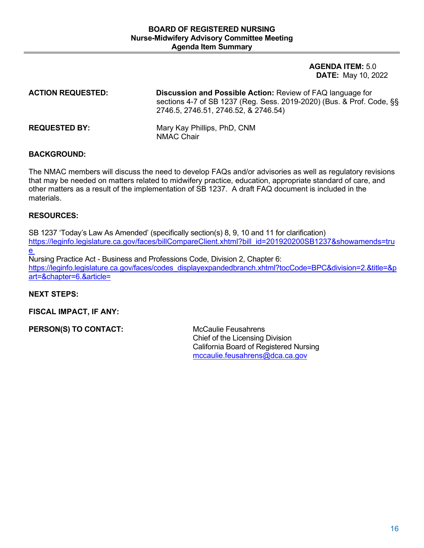**DATE:** May 10, 2022 **AGENDA ITEM:** 5.0

**ACTION REQUESTED: Discussion and Possible Action:** Revie w of FAQ language for sections 4-7 of SB 1237 (Reg. Sess. 2019 -2020) (Bus. & Prof. Code, §§ 2746.5, 2746.51, 2746.52, & 2746.54)

**REQUESTED BY:** Mary Kay Phillips, PhD, CNM NMAC Chair

#### **BACKGROUND:**

 other matters as a result of the implementation of SB 1237. A draft FAQ document is included in the The NMAC members will discuss the need to develop FAQs and/or advisories as well as regulatory revisions that may be needed on matters related to midwifery practice, education, appropriate standard of care, and materials.

#### **RESOURCES:**

SB 1237 'Today's Law As Amended' (specifically section(s) 8, 9, 10 and 11 for clarification) [https://leginfo.legislature.ca.gov/faces/billCompareClient.xhtml?bill\\_id=201920200SB1237&showamends=tru](https://leginfo.legislature.ca.gov/faces/billCompareClient.xhtml?bill_id=201920200SB1237&showamends=true)  [e](https://leginfo.legislature.ca.gov/faces/billCompareClient.xhtml?bill_id=201920200SB1237&showamends=true) 

 Nursing Practice Act - Business and Professions Code, Division 2, Chapter 6: https://leginfo.legislature.ca.gov/faces/codes\_displayexpandedbranch.xhtml?tocCode=BPC&division=2.&title=&p [art=&chapter=6.&article=](https://leginfo.legislature.ca.gov/faces/codes_displayexpandedbranch.xhtml?tocCode=BPC&division=2.&title=&part=&chapter=6.&article=) 

#### **NEXT STEPS:**

**FISCAL IMPACT, IF ANY:** 

**PERSON(S) TO CONTACT:** McCaulie Feusahrens

Chief of the Licensing Division California Board of Registered Nursing [mccaulie.feusahrens@dca.ca.gov](mailto:mccaulie.feusahrens@dca.ca.gov)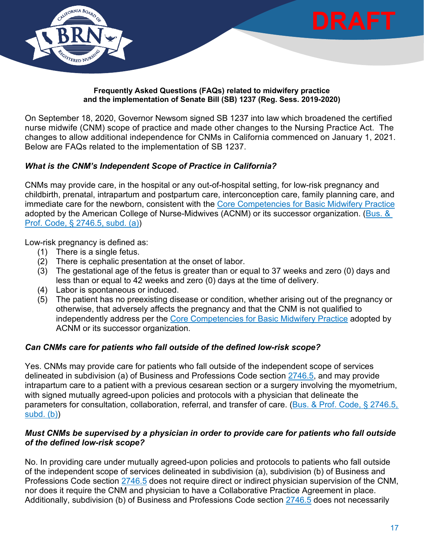

#### **Frequently Asked Questions (FAQs) related to midwifery practice and the implementation of Senate Bill (SB) 1237 (Reg. Sess. 2019-2020)**

On September 18, 2020, Governor Newsom signed SB 1237 into law which broadened the certified nurse midwife (CNM) scope of practice and made other changes to the Nursing Practice Act. The changes to allow additional independence for CNMs in California commenced on January 1, 2021. Below are FAQs related to the implementation of SB 1237.

#### *What is the CNM's Independent Scope of Practice in California?*

 CNMs may provide care, in the hospital or any out-of-hospital setting, for low-risk pregnancy and childbirth, prenatal, intrapartum and postpartum care, interconception care, family planning care, and immediate care for the newborn, consistent with the [Core Competencies for Basic Midwifery Practice](https://www.midwife.org/acnm/files/acnmlibrarydata/uploadfilename/000000000050/ACNMCoreCompetenciesMar2020_final.pdf)  adopted by the American College of Nurse-Midwives (ACNM) or its successor organization. [\(Bus. &](https://leginfo.legislature.ca.gov/faces/codes_displaySection.xhtml?lawCode=BPC§ionNum=2746.5.)  [Prof. Code, § 2746.5, subd. \(a\)\)](https://leginfo.legislature.ca.gov/faces/codes_displaySection.xhtml?lawCode=BPC§ionNum=2746.5.)

Low-risk pregnancy is defined as:

- (1) There is a single fetus.
- (2) There is cephalic presentation at the onset of labor.
- (3) The gestational age of the fetus is greater than or equal to 37 weeks and zero (0) days and less than or equal to 42 weeks and zero (0) days at the time of delivery.
- (4) Labor is spontaneous or induced.
- (5) The patient has no preexisting disease or condition, whether arising out of the pregnancy or otherwise, that adversely affects the pregnancy and that the CNM is not qualified to independently address per the [Core Competencies for Basic Midwifery Practice](https://www.midwife.org/acnm/files/acnmlibrarydata/uploadfilename/000000000050/ACNMCoreCompetenciesMar2020_final.pdf) adopted by ACNM or its successor organization.

#### *Can CNMs care for patients who fall outside of the defined low-risk scope?*

Yes. CNMs may provide care for patients who fall outside of the independent scope of services delineated in subdivision (a) of Business and Professions Code section [2746.5,](https://leginfo.legislature.ca.gov/faces/codes_displaySection.xhtml?lawCode=BPC§ionNum=2746.5.) and may provide intrapartum care to a patient with a previous cesarean section or a surgery involving the myometrium, with signed mutually agreed-upon policies and protocols with a physician that delineate the parameters for consultation, collaboration, referral, and transfer of care. [\(Bus. & Prof. Code, § 2746.5,](https://leginfo.legislature.ca.gov/faces/codes_displaySection.xhtml?lawCode=BPC§ionNum=2746.5.)  [subd. \(b\)\)](https://leginfo.legislature.ca.gov/faces/codes_displaySection.xhtml?lawCode=BPC§ionNum=2746.5.)

#### *Must CNMs be supervised by a physician in order to provide care for patients who fall outside of the defined low-risk scope?*

Professions Code section <u>2746.5</u> does not require direct or indirect physician supervision of the CNM, No. In providing care under mutually agreed-upon policies and protocols to patients who fall outside of the independent scope of services delineated in subdivision (a), subdivision (b) of Business and nor does it require the CNM and physician to have a Collaborative Practice Agreement in place. Additionally, subdivision (b) of Business and Professions Code section [2746.5](https://leginfo.legislature.ca.gov/faces/codes_displaySection.xhtml?lawCode=BPC§ionNum=2746.5.) does not necessarily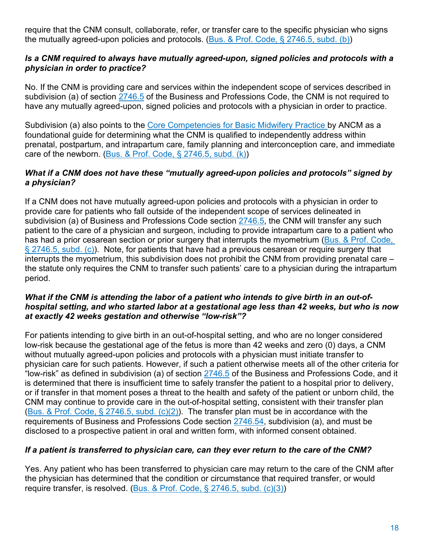require that the CNM consult, collaborate, refer, or transfer care to the specific physician who signs the mutually agreed-upon policies and protocols. [\(Bus. & Prof. Code, § 2746.5, subd. \(b\)\)](https://leginfo.legislature.ca.gov/faces/codes_displaySection.xhtml?lawCode=BPC§ionNum=2746.5.)

#### *Is a CNM required to always have mutually agreed-upon, signed policies and protocols with a physician in order to practice?*

No. If the CNM is providing care and services within the independent scope of services described in subdivision (a) of section [2746.5](https://leginfo.legislature.ca.gov/faces/codes_displaySection.xhtml?lawCode=BPC§ionNum=2746.5.) of the Business and Professions Code, the CNM is not required to have any mutually agreed-upon, signed policies and protocols with a physician in order to practice.

Subdivision (a) also points to the <u>Core Competencies for Basic Midwifery Practice </u>by ANCM as a foundational guide for determining what the CNM is qualified to independently address within prenatal, postpartum, and intrapartum care, family planning and interconception care, and immediate care of the newborn. [\(Bus. & Prof. Code, § 2746.5, subd. \(k\)\)](https://leginfo.legislature.ca.gov/faces/codes_displaySection.xhtml?lawCode=BPC§ionNum=2746.5.)

#### *What if a CNM does not have these "mutually agreed-upon policies and protocols" signed by a physician?*

 $\S$  2746.5, subd. (c)). Note, for patients that have had a previous cesarean or require surgery that If a CNM does not have mutually agreed-upon policies and protocols with a physician in order to provide care for patients who fall outside of the independent scope of services delineated in subdivision (a) of Business and Professions Code section [2746.5,](https://leginfo.legislature.ca.gov/faces/codes_displaySection.xhtml?lawCode=BPC§ionNum=2746.5.) the CNM will transfer any such patient to the care of a physician and surgeon, including to provide intrapartum care to a patient who has had a prior cesarean section or prior surgery that interrupts the myometrium (Bus. & Prof. Code, interrupts the myometrium, this subdivision does not prohibit the CNM from providing prenatal care – the statute only requires the CNM to transfer such patients' care to a physician during the intrapartum period.

#### *What if the CNM is attending the labor of a patient who intends to give birth in an out-ofhospital setting, and who started labor at a gestational age less than 42 weeks, but who is now at exactly 42 weeks gestation and otherwise "low-risk"?*

 For patients intending to give birth in an out-of-hospital setting, and who are no longer considered low-risk because the gestational age of the fetus is more than 42 weeks and zero (0) days, a CNM physician care for such patients. However, if such a patient otherwise meets all of the other criteria for or if transfer in that moment poses a threat to the health and safety of the patient or unborn child, the (Bus. & Prof. Code,  $\S 2746.5$ , subd. (c)(2)). The transfer plan must be in accordance with the disclosed to a prospective patient in oral and written form, with informed consent obtained. without mutually agreed-upon policies and protocols with a physician must initiate transfer to "low-risk" as defined in subdivision (a) of section [2746.5](https://leginfo.legislature.ca.gov/faces/codes_displaySection.xhtml?lawCode=BPC§ionNum=2746.5.) of the Business and Professions Code, and it is determined that there is insufficient time to safely transfer the patient to a hospital prior to delivery, CNM may continue to provide care in the out-of-hospital setting, consistent with their transfer plan requirements of Business and Professions Code section [2746.54,](https://leginfo.legislature.ca.gov/faces/codes_displaySection.xhtml?lawCode=BPC§ionNum=2746.54.https://leginfo.legislature.ca.gov/faces/codes_displaySection.xhtml?lawCode=BPC§ionNum=2746.54.) subdivision (a), and must be

#### *If a patient is transferred to physician care, can they ever return to the care of the CNM?*

 the physician has determined that the condition or circumstance that required transfer, or would Yes. Any patient who has been transferred to physician care may return to the care of the CNM after require transfer, is resolved. [\(Bus. & Prof. Code, § 2746.5, subd. \(c\)\(3\)\)](https://leginfo.legislature.ca.gov/faces/codes_displaySection.xhtml?lawCode=BPC§ionNum=2746.5.)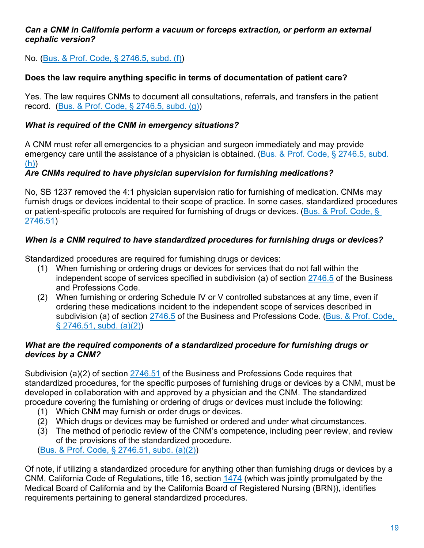#### *Can a CNM in California perform a vacuum or forceps extraction, or perform an external cephalic version?*

No. [\(Bus. & Prof. Code, § 2746.5, subd. \(f\)\)](https://leginfo.legislature.ca.gov/faces/codes_displaySection.xhtml?lawCode=BPC§ionNum=2746.5.)

### **Does the law require anything specific in terms of documentation of patient care?**

 record. [\(Bus. & Prof. Code, § 2746.5, subd. \(g\)\)](https://leginfo.legislature.ca.gov/faces/codes_displaySection.xhtml?lawCode=BPC§ionNum=2746.5.) Yes. The law requires CNMs to document all consultations, referrals, and transfers in the patient

#### *What is required of the CNM in emergency situations?*

A CNM must refer all emergencies to a physician and surgeon immediately and may provide emergency care until the assistance of a physician is obtained. [\(Bus. & Prof. Code, § 2746.5, subd.](https://leginfo.legislature.ca.gov/faces/codes_displaySection.xhtml?lawCode=BPC§ionNum=2746.5.)  [\(h\)\)](https://leginfo.legislature.ca.gov/faces/codes_displaySection.xhtml?lawCode=BPC§ionNum=2746.5.)

#### *Are CNMs required to have physician supervision for furnishing medications?*

or patient-specific protocols are required for furnishing of drugs or devices. (<u>Bus. & Prof. Code, §</u> No, SB 1237 removed the 4:1 physician supervision ratio for furnishing of medication. CNMs may furnish drugs or devices incidental to their scope of practice. In some cases, standardized procedures [2746.51\)](https://leginfo.legislature.ca.gov/faces/codes_displaySection.xhtml?lawCode=BPC§ionNum=2746.51.)

#### *When is a CNM required to have standardized procedures for furnishing drugs or devices?*

Standardized procedures are required for furnishing drugs or devices:

- (1) When furnishing or ordering drugs or devices for services that do not fall within the independent scope of services specified in subdivision (a) of section [2746.5](https://leginfo.legislature.ca.gov/faces/codes_displaySection.xhtml?lawCode=BPC§ionNum=2746.5.) of the Business and Professions Code.
- (2) When furnishing or ordering Schedule IV or V controlled substances at any time, even if ordering these medications incident to the independent scope of services described in subdivision (a) of section [2746.5](https://leginfo.legislature.ca.gov/faces/codes_displaySection.xhtml?lawCode=BPC§ionNum=2746.5.) of the Business and Professions Code. (Bus. & Prof. Code, [§ 2746.51, subd. \(a\)\(2\)\)](https://leginfo.legislature.ca.gov/faces/codes_displaySection.xhtml?lawCode=BPC§ionNum=2746.51.)

#### *What are the required components of a standardized procedure for furnishing drugs or devices by a CNM?*

 standardized procedures, for the specific purposes of furnishing drugs or devices by a CNM, must be procedure covering the furnishing or ordering of drugs or devices must include the following: Subdivision (a)(2) of section [2746.51](https://leginfo.legislature.ca.gov/faces/codes_displaySection.xhtml?lawCode=BPC§ionNum=2746.51.) of the Business and Professions Code requires that developed in collaboration with and approved by a physician and the CNM. The standardized

- (1) Which CNM may furnish or order drugs or devices.
- (2) Which drugs or devices may be furnished or ordered and under what circumstances.
- (3) The method of periodic review of the CNM's competence, including peer review, and review of the provisions of the standardized procedure.

[\(Bus. & Prof. Code, § 2746.51, subd. \(a\)\(2\)\)](https://leginfo.legislature.ca.gov/faces/codes_displaySection.xhtml?lawCode=BPC§ionNum=2746.51.)

Of note, if utilizing a standardized procedure for anything other than furnishing drugs or devices by a CNM, California Code of Regulations, title 16, section [1474](https://govt.westlaw.com/calregs/Document/IB5F41390D48E11DEBC02831C6D6C108E?viewType=FullText&originationContext=documenttoc&transitionType=CategoryPageItem&contextData=(sc.Default)) (which was jointly promulgated by the Medical Board of California and by the California Board of Registered Nursing (BRN)), identifies requirements pertaining to general standardized procedures.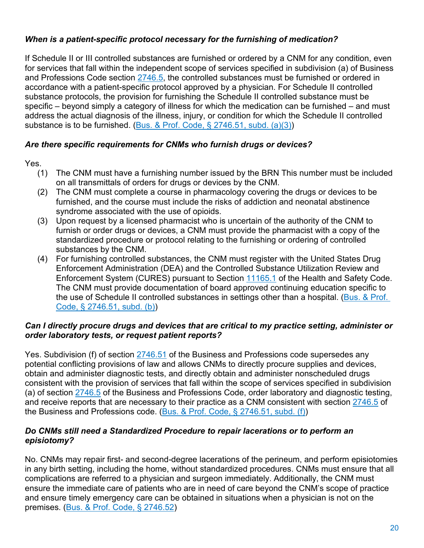### *When is a patient-specific protocol necessary for the furnishing of medication?*

 specific – beyond simply a category of illness for which the medication can be furnished – and must If Schedule II or III controlled substances are furnished or ordered by a CNM for any condition, even for services that fall within the independent scope of services specified in subdivision (a) of Business and Professions Code section [2746.5,](https://leginfo.legislature.ca.gov/faces/codes_displaySection.xhtml?lawCode=BPC§ionNum=2746.5.) the controlled substances must be furnished or ordered in accordance with a patient-specific protocol approved by a physician. For Schedule II controlled substance protocols, the provision for furnishing the Schedule II controlled substance must be address the actual diagnosis of the illness, injury, or condition for which the Schedule II controlled substance is to be furnished. [\(Bus. & Prof. Code, § 2746.51, subd. \(a\)\(3\)\)](https://leginfo.legislature.ca.gov/faces/codes_displaySection.xhtml?lawCode=BPC§ionNum=2746.51.)

#### *Are there specific requirements for CNMs who furnish drugs or devices?*

Yes.

- on all transmittals of orders for drugs or devices by the CNM. (1) The CNM must have a furnishing number issued by the BRN This number must be included
- syndrome associated with the use of opioids. (2) The CNM must complete a course in pharmacology covering the drugs or devices to be furnished, and the course must include the risks of addiction and neonatal abstinence
- (3) Upon request by a licensed pharmacist who is uncertain of the authority of the CNM to furnish or order drugs or devices, a CNM must provide the pharmacist with a copy of the standardized procedure or protocol relating to the furnishing or ordering of controlled substances by the CNM.
- Enforcement System (CURES) pursuant to Section <u>11165.1</u> of the Health and Safety Code. (4) For furnishing controlled substances, the CNM must register with the United States Drug Enforcement Administration (DEA) and the Controlled Substance Utilization Review and The CNM must provide documentation of board approved continuing education specific to the use of Schedule II controlled substances in settings other than a hospital. (Bus. & Prof. [Code, § 2746.51, subd. \(b\)\)](https://leginfo.legislature.ca.gov/faces/codes_displaySection.xhtml?lawCode=BPC§ionNum=2746.51.)

#### *Can I directly procure drugs and devices that are critical to my practice setting, administer or order laboratory tests, or request patient reports?*

Yes. Subdivision (f) of section <u>2746.51</u> of the Business and Professions code supersedes any the Business and Professions code. (<u>Bus. & Prof. Code, § 2746.51, subd. (f)</u>) potential conflicting provisions of law and allows CNMs to directly procure supplies and devices, obtain and administer diagnostic tests, and directly obtain and administer nonscheduled drugs consistent with the provision of services that fall within the scope of services specified in subdivision (a) of section [2746.5](https://leginfo.legislature.ca.gov/faces/codes_displaySection.xhtml?lawCode=BPC§ionNum=2746.5.) of the Business and Professions Code, order laboratory and diagnostic testing, and receive reports that are necessary to their practice as a CNM consistent with section [2746.5](https://leginfo.legislature.ca.gov/faces/codes_displaySection.xhtml?lawCode=BPC§ionNum=2746.5.) of

#### *Do CNMs still need a Standardized Procedure to repair lacerations or to perform an episiotomy?*

 ensure the immediate care of patients who are in need of care beyond the CNM's scope of practice and ensure timely emergency care can be obtained in situations when a physician is not on the No. CNMs may repair first- and second-degree lacerations of the perineum, and perform episiotomies in any birth setting, including the home, without standardized procedures. CNMs must ensure that all complications are referred to a physician and surgeon immediately. Additionally, the CNM must premises. [\(Bus. & Prof. Code, § 2746.52\)](https://leginfo.legislature.ca.gov/faces/codes_displaySection.xhtml?lawCode=BPC§ionNum=2746.52.)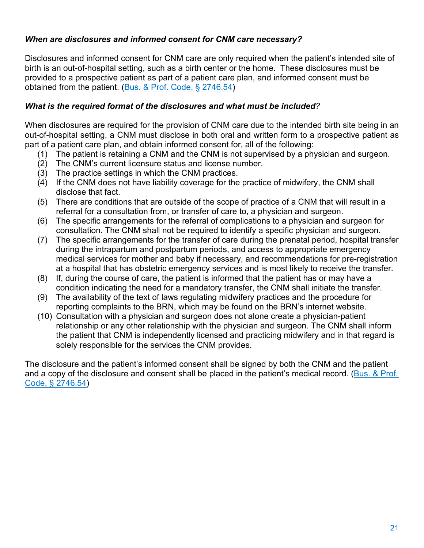#### *When are disclosures and informed consent for CNM care necessary?*

 birth is an out-of-hospital setting, such as a birth center or the home. These disclosures must be provided to a prospective patient as part of a patient care plan, and informed consent must be Disclosures and informed consent for CNM care are only required when the patient's intended site of obtained from the patient. [\(Bus. & Prof. Code, § 2746.54\)](https://leginfo.legislature.ca.gov/faces/codes_displaySection.xhtml?lawCode=BPC§ionNum=2746.54.https://leginfo.legislature.ca.gov/faces/codes_displaySection.xhtml?lawCode=BPC§ionNum=2746.54.)

#### *What is the required format of the disclosures and what must be included?*

When disclosures are required for the provision of CNM care due to the intended birth site being in an out-of-hospital setting, a CNM must disclose in both oral and written form to a prospective patient as part of a patient care plan, and obtain informed consent for, all of the following:

- (1) The patient is retaining a CNM and the CNM is not supervised by a physician and surgeon.
- (2) The CNM's current licensure status and license number.
- (3) The practice settings in which the CNM practices.
- (4) If the CNM does not have liability coverage for the practice of midwifery, the CNM shall disclose that fact.
- (5) There are conditions that are outside of the scope of practice of a CNM that will result in a referral for a consultation from, or transfer of care to, a physician and surgeon.
- (6) The specific arrangements for the referral of complications to a physician and surgeon for consultation. The CNM shall not be required to identify a specific physician and surgeon.
- medical services for mother and baby if necessary, and recommendations for pre-registration at a hospital that has obstetric emergency services and is most likely to receive the transfer. (7) The specific arrangements for the transfer of care during the prenatal period, hospital transfer during the intrapartum and postpartum periods, and access to appropriate emergency
- (8) If, during the course of care, the patient is informed that the patient has or may have a condition indicating the need for a mandatory transfer, the CNM shall initiate the transfer.
- (9) The availability of the text of laws regulating midwifery practices and the procedure for reporting complaints to the BRN, which may be found on the BRN's internet website.
- (10) Consultation with a physician and surgeon does not alone create a physician-patient relationship or any other relationship with the physician and surgeon. The CNM shall inform the patient that CNM is independently licensed and practicing midwifery and in that regard is solely responsible for the services the CNM provides.

The disclosure and the patient's informed consent shall be signed by both the CNM and the patient and a copy of the disclosure and consent shall be placed in the patient's medical record. (Bus. & Prof. [Code, § 2746.54\)](https://leginfo.legislature.ca.gov/faces/codes_displaySection.xhtml?lawCode=BPC§ionNum=2746.54.https://leginfo.legislature.ca.gov/faces/codes_displaySection.xhtml?lawCode=BPC§ionNum=2746.54.)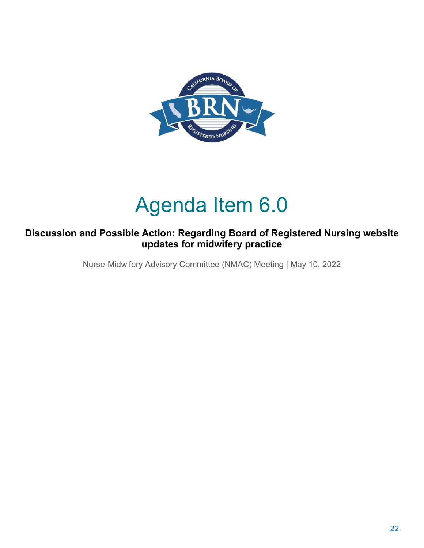

# Agenda Item 6.0

### **Discussion and Possible Action: Regarding Board of Registered Nursing website updates for midwifery practice**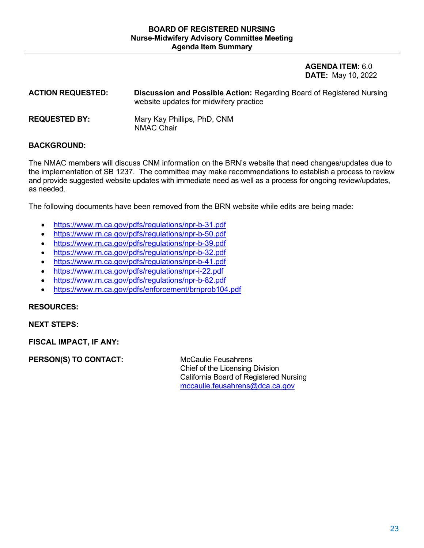**DATE:** May 10, 2022 **AGENDA ITEM:** 6.0

| <b>ACTION REQUESTED:</b> | <b>Discussion and Possible Action: Regarding Board of Registered Nursing</b><br>website updates for midwifery practice |
|--------------------------|------------------------------------------------------------------------------------------------------------------------|
| <b>REQUESTED BY:</b>     | Mary Kay Phillips, PhD, CNM<br>NMAC Chair                                                                              |

#### **BACKGROUND:**

as needed. The NMAC members will discuss CNM information on the BRN's website that need changes/updates due to the implementation of SB 1237. The committee may make recommendations to establish a process to review and provide suggested website updates with immediate need as well as a process for ongoing review/updates,

The following documents have been removed from the BRN website while edits are being made:

- <https://www.rn.ca.gov/pdfs/regulations/npr-b-31.pdf>
- <https://www.rn.ca.gov/pdfs/regulations/npr-b-50.pdf>
- <https://www.rn.ca.gov/pdfs/regulations/npr-b-39.pdf>
- <https://www.rn.ca.gov/pdfs/regulations/npr-b-32.pdf>
- <https://www.rn.ca.gov/pdfs/regulations/npr-b-41.pdf>
- <https://www.rn.ca.gov/pdfs/regulations/npr-i-22.pdf>
- [https://www.rn.ca.gov/pdfs/regulations/npr-b-82.pdf](https://urldefense.com/v3/__https:/www.rn.ca.gov/pdfs/regulations/npr-b-82.pdf__;!!Em4Sr2I!LXTCg7yMwO4aRPTycHJ3UBxgGU1Oka3sBbIUO8TMUngv--StLdzJ3wfIsQHViTE0d5-ozyKStlRPyTa6NJ4yHvQ$)
- <https://www.rn.ca.gov/pdfs/enforcement/brnprob104.pdf>

#### **RESOURCES:**

**NEXT STEPS:** 

**FISCAL IMPACT, IF ANY:** 

**PERSON(S) TO CONTACT:** McCaulie Feusahrens

Chief of the Licensing Division California Board of Registered Nursing [mccaulie.feusahrens@dca.ca.gov](mailto:mccaulie.feusahrens@dca.ca.gov)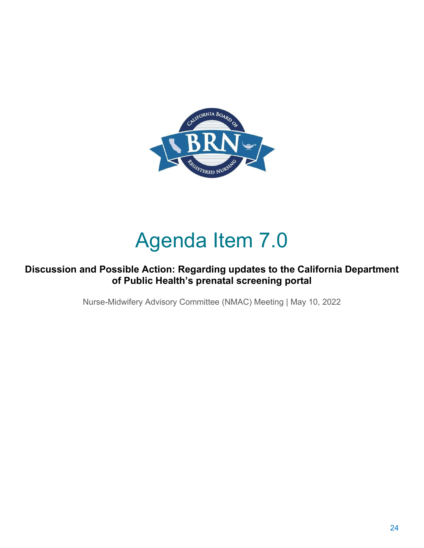

# Agenda Item 7.0

### **Discussion and Possible Action: Regarding updates to the California Department of Public Health's prenatal screening portal**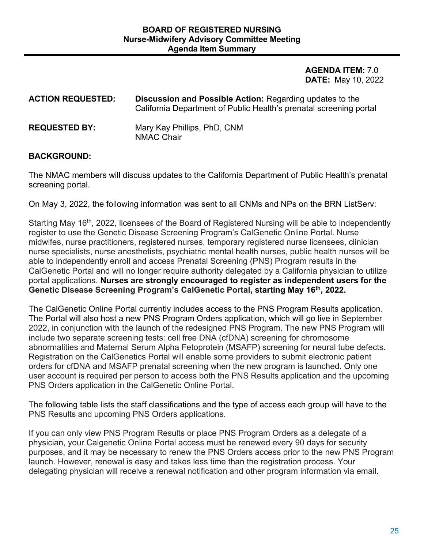**DATE:** May 10, 2022 **AGENDA ITEM:** 7.0

| <b>ACTION REQUESTED:</b> | <b>Discussion and Possible Action: Regarding updates to the</b><br>California Department of Public Health's prenatal screening portal |
|--------------------------|---------------------------------------------------------------------------------------------------------------------------------------|
| <b>REQUESTED BY:</b>     | Mary Kay Phillips, PhD, CNM<br><b>NMAC Chair</b>                                                                                      |

#### **BACKGROUND:**

 The NMAC members will discuss updates to the California Department of Public Health's prenatal screening portal.

On May 3, 2022, the following information was sent to all CNMs and NPs on the BRN ListServ:

Starting May 16<sup>th</sup>, 2022, licensees of the Board of Registered Nursing will be able to independently register to use the Genetic Disease Screening Program's CalGenetic Online Portal. Nurse midwifes, nurse practitioners, registered nurses, temporary registered nurse licensees, clinician nurse specialists, nurse anesthetists, psychiatric mental health nurses, public health nurses will be able to independently enroll and access Prenatal Screening (PNS) Program results in the CalGenetic Portal and will no longer require authority delegated by a California physician to utilize portal applications. **Nurses are strongly encouraged to register as independent users for the Genetic Disease Screening Program's CalGenetic Portal, starting May 16th, 2022.** 

 orders for cfDNA and MSAFP prenatal screening when the new program is launched. Only one The CalGenetic Online Portal currently includes access to the PNS Program Results application. The Portal will also host a new PNS Program Orders application, which will go live in September 2022, in conjunction with the launch of the redesigned PNS Program. The new PNS Program will include two separate screening tests: cell free DNA (cfDNA) screening for chromosome abnormalities and Maternal Serum Alpha Fetoprotein (MSAFP) screening for neural tube defects. Registration on the CalGenetics Portal will enable some providers to submit electronic patient user account is required per person to access both the PNS Results application and the upcoming PNS Orders application in the CalGenetic Online Portal.

PNS Results and upcoming PNS Orders applications. The following table lists the staff classifications and the type of access each group will have to the

PNS Results and upcoming PNS Orders applications.<br>If you can only view PNS Program Results or place PNS Program Orders as a delegate of a physician, your Calgenetic Online Portal access must be renewed every 90 days for security purposes, and it may be necessary to renew the PNS Orders access prior to the new PNS Program launch. However, renewal is easy and takes less time than the registration process. Your delegating physician will receive a renewal notification and other program information via email.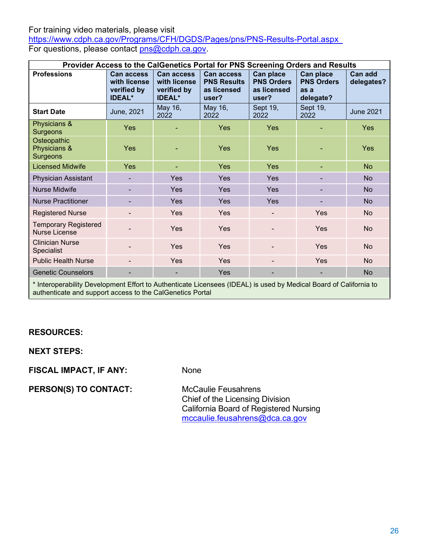For training video materials, please visit

<u><https://www.cdph.ca.gov/Programs/CFH/DGDS/Pages/pns/PNS-Results-Portal.aspx></u><br>For questions, please contact <u>pns@cdph.ca.gov</u>.

| Provider Access to the CalGenetics Portal for PNS Screening Orders and Results                                                                                                 |                                                                   |                                                                   |                                                                 |                                                        |                                                     |                       |
|--------------------------------------------------------------------------------------------------------------------------------------------------------------------------------|-------------------------------------------------------------------|-------------------------------------------------------------------|-----------------------------------------------------------------|--------------------------------------------------------|-----------------------------------------------------|-----------------------|
| <b>Professions</b>                                                                                                                                                             | <b>Can access</b><br>with license<br>verified by<br><b>IDEAL*</b> | <b>Can access</b><br>with license<br>verified by<br><b>IDEAL*</b> | <b>Can access</b><br><b>PNS Results</b><br>as licensed<br>user? | Can place<br><b>PNS Orders</b><br>as licensed<br>user? | Can place<br><b>PNS Orders</b><br>as a<br>delegate? | Can add<br>delegates? |
| <b>Start Date</b>                                                                                                                                                              | June, 2021                                                        | May 16,<br>2022                                                   | May 16,<br>2022                                                 | Sept 19,<br>2022                                       | Sept 19,<br>2022                                    | <b>June 2021</b>      |
| Physicians &<br>Surgeons                                                                                                                                                       | Yes                                                               |                                                                   | Yes                                                             | Yes                                                    |                                                     | <b>Yes</b>            |
| Osteopathic<br>Physicians &<br>Surgeons                                                                                                                                        | Yes                                                               |                                                                   | Yes                                                             | Yes                                                    |                                                     | Yes                   |
| <b>Licensed Midwife</b>                                                                                                                                                        | Yes                                                               | ٠                                                                 | Yes                                                             | Yes                                                    |                                                     | <b>No</b>             |
| Physician Assistant                                                                                                                                                            |                                                                   | Yes                                                               | Yes                                                             | Yes                                                    |                                                     | <b>No</b>             |
| <b>Nurse Midwife</b>                                                                                                                                                           |                                                                   | Yes                                                               | Yes                                                             | Yes                                                    |                                                     | <b>No</b>             |
| <b>Nurse Practitioner</b>                                                                                                                                                      |                                                                   | <b>Yes</b>                                                        | Yes                                                             | Yes                                                    |                                                     | <b>No</b>             |
| <b>Registered Nurse</b>                                                                                                                                                        |                                                                   | Yes                                                               | Yes                                                             |                                                        | Yes                                                 | No                    |
| <b>Temporary Registered</b><br><b>Nurse License</b>                                                                                                                            |                                                                   | Yes                                                               | Yes                                                             |                                                        | Yes                                                 | No                    |
| <b>Clinician Nurse</b><br><b>Specialist</b>                                                                                                                                    |                                                                   | Yes                                                               | Yes                                                             |                                                        | Yes                                                 | N <sub>o</sub>        |
| <b>Public Health Nurse</b>                                                                                                                                                     |                                                                   | <b>Yes</b>                                                        | Yes                                                             |                                                        | Yes                                                 | <b>No</b>             |
| <b>Genetic Counselors</b>                                                                                                                                                      |                                                                   | ۰                                                                 | Yes                                                             |                                                        |                                                     | <b>No</b>             |
| * Interoperability Development Effort to Authenticate Licensees (IDEAL) is used by Medical Board of California to<br>authenticate and support access to the CalGenetics Portal |                                                                   |                                                                   |                                                                 |                                                        |                                                     |                       |

### **RESOURCES:**

**NEXT STEPS:** 

**FISCAL IMPACT, IF ANY:** None

PERSON(S) TO CONTACT: McCaulie Feusahrens

Chief of the Licensing Division California Board of Registered Nursing [mccaulie.feusahrens@dca.ca.gov](mailto:mccaulie.feusahrens@dca.ca.gov)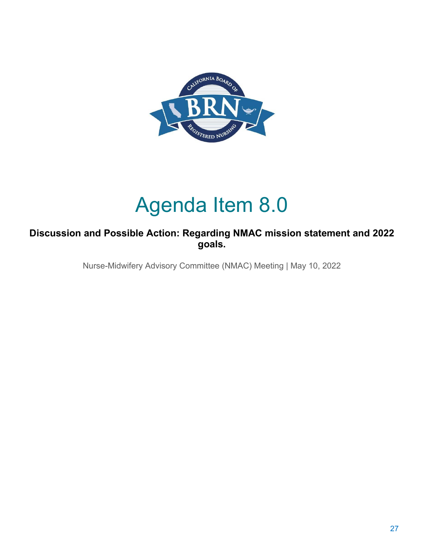

# Agenda Item 8.0

### **Discussion and Possible Action: Regarding NMAC mission statement and 2022 goals.**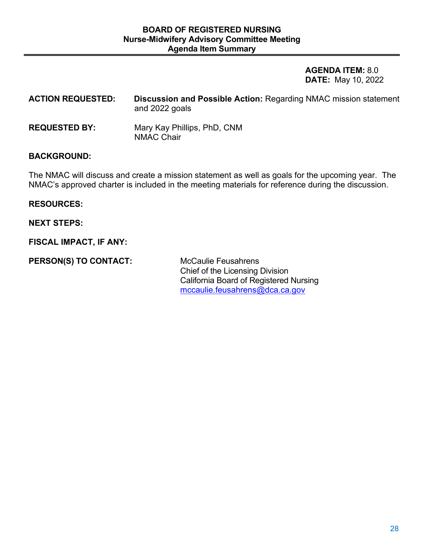**DATE:** May 10, 2022 **AGENDA ITEM:** 8.0

| <b>ACTION REQUESTED:</b> | <b>Discussion and Possible Action: Regarding NMAC mission statement</b><br>and 2022 goals |
|--------------------------|-------------------------------------------------------------------------------------------|
| <b>REQUESTED BY:</b>     | Mary Kay Phillips, PhD, CNM<br><b>NMAC Chair</b>                                          |

#### **BACKGROUND:**

 The NMAC will discuss and create a mission statement as well as goals for the upcoming year. The NMAC's approved charter is included in the meeting materials for reference during the discussion.

#### **RESOURCES:**

**NEXT STEPS:** 

**FISCAL IMPACT, IF ANY:** 

PERSON(S) TO CONTACT: McCaulie Feusahrens

Chief of the Licensing Division California Board of Registered Nursing [mccaulie.feusahrens@dca.ca.gov](mailto:mccaulie.feusahrens@dca.ca.gov)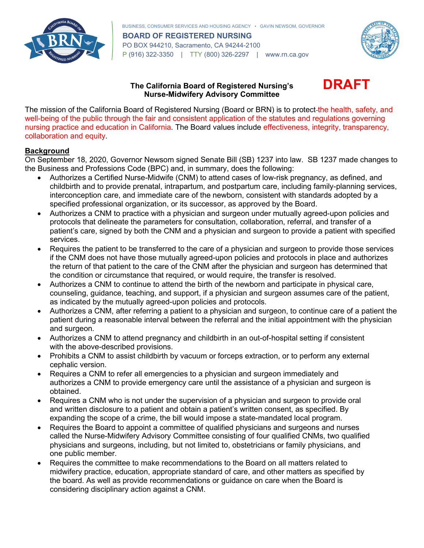

 PO BOX 944210, Sacramento, CA 94244-2100 P (916) 322-3350 | TTY (800) 326-2297 | <www.rn.ca.gov> BUSINESS, CONSUMER SERVICES AND HOUSING AGENCY • GAVIN NEWSOM, GOVERNOR **BOARD OF REGISTERED NURSING** 



#### **The California Board of Registered Nursing's DRAFT Nurse-Midwifery Advisory Committee**

 The mission of the California Board of Registered Nursing (Board or BRN) is to protect the health, safety, and well-being of the public through the fair and consistent application of the statutes and regulations governing nursing practice and education in California. The Board values include effectiveness, integrity, transparency, collaboration and equity.

#### **Background**

 On September 18, 2020, Governor Newsom signed Senate Bill (SB) 1237 into law. SB 1237 made changes to the Business and Professions Code (BPC) and, in summary, does the following:

- interconception care, and immediate care of the newborn, consistent with standards adopted by a specified professional organization, or its successor, as approved by the Board. • Authorizes a Certified Nurse-Midwife (CNM) to attend cases of low-risk pregnancy, as defined, and childbirth and to provide prenatal, intrapartum, and postpartum care, including family-planning services,
- protocols that delineate the parameters for consultation, collaboration, referral, and transfer of a services. • Authorizes a CNM to practice with a physician and surgeon under mutually agreed-upon policies and patient's care, signed by both the CNM and a physician and surgeon to provide a patient with specified
- the return of that patient to the care of the CNM after the physician and surgeon has determined that • Requires the patient to be transferred to the care of a physician and surgeon to provide those services if the CNM does not have those mutually agreed-upon policies and protocols in place and authorizes the condition or circumstance that required, or would require, the transfer is resolved.
- counseling, guidance, teaching, and support, if a physician and surgeon assumes care of the patient, • Authorizes a CNM to continue to attend the birth of the newborn and participate in physical care, as indicated by the mutually agreed-upon policies and protocols.
- Authorizes a CNM, after referring a patient to a physician and surgeon, to continue care of a patient the patient during a reasonable interval between the referral and the initial appointment with the physician and surgeon.
- Authorizes a CNM to attend pregnancy and childbirth in an out-of-hospital setting if consistent with the above-described provisions.
- • Prohibits a CNM to assist childbirth by vacuum or forceps extraction, or to perform any external cephalic version.
- Requires a CNM to refer all emergencies to a physician and surgeon immediately and authorizes a CNM to provide emergency care until the assistance of a physician and surgeon is obtained.
- Requires a CNM who is not under the supervision of a physician and surgeon to provide oral and written disclosure to a patient and obtain a patient's written consent, as specified. By expanding the scope of a crime, the bill would impose a state-mandated local program.
- physicians and surgeons, including, but not limited to, obstetricians or family physicians, and • Requires the Board to appoint a committee of qualified physicians and surgeons and nurses called the Nurse-Midwifery Advisory Committee consisting of four qualified CNMs, two qualified one public member.
- • Requires the committee to make recommendations to the Board on all matters related to midwifery practice, education, appropriate standard of care, and other matters as specified by the board. As well as provide recommendations or guidance on care when the Board is considering disciplinary action against a CNM.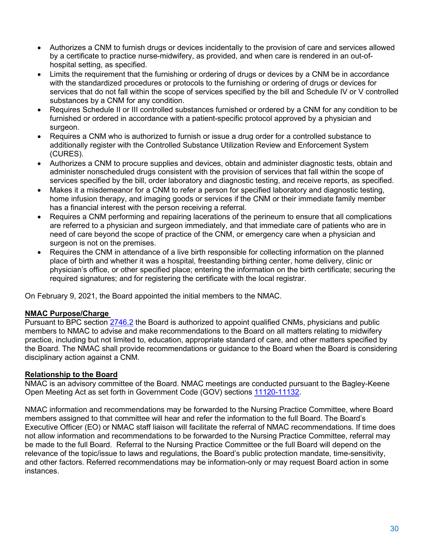- Authorizes a CNM to furnish drugs or devices incidentally to the provision of care and services allowed by a certificate to practice nurse-midwifery, as provided, and when care is rendered in an out-ofhospital setting, as specified.
- Limits the requirement that the furnishing or ordering of drugs or devices by a CNM be in accordance with the standardized procedures or protocols to the furnishing or ordering of drugs or devices for services that do not fall within the scope of services specified by the bill and Schedule IV or V controlled substances by a CNM for any condition.
- Requires Schedule II or III controlled substances furnished or ordered by a CNM for any condition to be furnished or ordered in accordance with a patient-specific protocol approved by a physician and surgeon.
- Requires a CNM who is authorized to furnish or issue a drug order for a controlled substance to additionally register with the Controlled Substance Utilization Review and Enforcement System (CURES).
- services specified by the bill, order laboratory and diagnostic testing, and receive reports, as specified. • Authorizes a CNM to procure supplies and devices, obtain and administer diagnostic tests, obtain and administer nonscheduled drugs consistent with the provision of services that fall within the scope of
- • Makes it a misdemeanor for a CNM to refer a person for specified laboratory and diagnostic testing, home infusion therapy, and imaging goods or services if the CNM or their immediate family member has a financial interest with the person receiving a referral.
- Requires a CNM performing and repairing lacerations of the perineum to ensure that all complications are referred to a physician and surgeon immediately, and that immediate care of patients who are in need of care beyond the scope of practice of the CNM, or emergency care when a physician and surgeon is not on the premises.
- place of birth and whether it was a hospital, freestanding birthing center, home delivery, clinic or physician's office, or other specified place; entering the information on the birth certificate; securing the • Requires the CNM in attendance of a live birth responsible for collecting information on the planned required signatures; and for registering the certificate with the local registrar.

On February 9, 2021, the Board appointed the initial members to the NMAC.

#### **NMAC Purpose/Charge**

Pursuant to BPC section [2746.2](https://leginfo.legislature.ca.gov/faces/codes_displaySection.xhtml?lawCode=BPC§ionNum=2746.2.) the Board is authorized to appoint qualified CNMs, physicians and public members to NMAC to advise and make recommendations to the Board on all matters relating to midwifery practice, including but not limited to, education, appropriate standard of care, and other matters specified by the Board. The NMAC shall provide recommendations or guidance to the Board when the Board is considering disciplinary action against a CNM.

#### **Relationship to the Board**

NMAC is an advisory committee of the Board. NMAC meetings are conducted pursuant to the Bagley-Keene Open Meeting Act as set forth in Government Code (GOV) sections [11120-11132.](https://leginfo.legislature.ca.gov/faces/codes_displayText.xhtml?lawCode=GOV&division=3.&title=2.&part=1.&chapter=1.&article=9)

 be made to the full Board. Referral to the Nursing Practice Committee or the full Board will depend on the NMAC information and recommendations may be forwarded to the Nursing Practice Committee, where Board members assigned to that committee will hear and refer the information to the full Board. The Board's Executive Officer (EO) or NMAC staff liaison will facilitate the referral of NMAC recommendations. If time does not allow information and recommendations to be forwarded to the Nursing Practice Committee, referral may relevance of the topic/issue to laws and regulations, the Board's public protection mandate, time-sensitivity, and other factors. Referred recommendations may be information-only or may request Board action in some instances.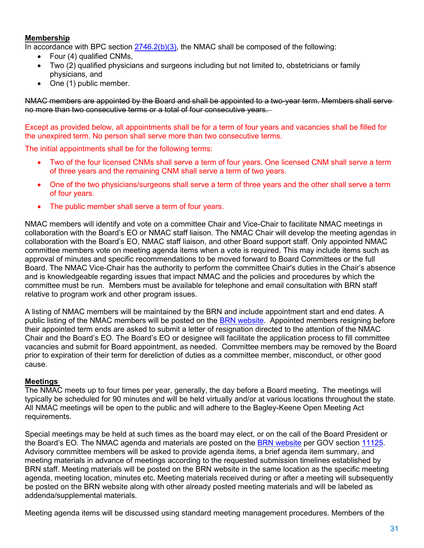#### **Membership**

In accordance with BPC section  $2746.2(b)(3)$ , the NMAC shall be composed of the following:

- Four (4) qualified CNMs,
- Two (2) qualified physicians and surgeons including but not limited to, obstetricians or family physicians, and
- One (1) public member.

 no more than two consecutive terms or a total of four consecutive years. NMAC members are appointed by the Board and shall be appointed to a two-year term. Members shall serve

Except as provided below, all appointments shall be for a term of four years and vacancies shall be filled for the unexpired term. No person shall serve more than two consecutive terms.

The initial appointments shall be for the following terms:

- • Two of the four licensed CNMs shall serve a term of four years. One licensed CNM shall serve a term of three years and the remaining CNM shall serve a term of two years.
- • One of the two physicians/surgeons shall serve a term of three years and the other shall serve a term of four years.
- The public member shall serve a term of four years.

 approval of minutes and specific recommendations to be moved forward to Board Committees or the full Board. The NMAC Vice-Chair has the authority to perform the committee Chair's duties in the Chair's absence and is knowledgeable regarding issues that impact NMAC and the policies and procedures by which the committee must be run. Members must be available for telephone and email consultation with BRN staff NMAC members will identify and vote on a committee Chair and Vice-Chair to facilitate NMAC meetings in collaboration with the Board's EO or NMAC staff liaison. The NMAC Chair will develop the meeting agendas in collaboration with the Board's EO, NMAC staff liaison, and other Board support staff. Only appointed NMAC committee members vote on meeting agenda items when a vote is required. This may include items such as relative to program work and other program issues.

 vacancies and submit for Board appointment, as needed. Committee members may be removed by the Board A listing of NMAC members will be maintained by the BRN and include appointment start and end dates. A public listing of the NMAC members will be posted on the [BRN website.](https://www.rn.ca.gov/consumers/advcommittees.shtml) Appointed members resigning before their appointed term ends are asked to submit a letter of resignation directed to the attention of the NMAC Chair and the Board's EO. The Board's EO or designee will facilitate the application process to fill committee prior to expiration of their term for dereliction of duties as a committee member, misconduct, or other good cause.

#### **Meetings**

requirements. The NMAC meets up to four times per year, generally, the day before a Board meeting. The meetings will typically be scheduled for 90 minutes and will be held virtually and/or at various locations throughout the state. All NMAC meetings will be open to the public and will adhere to the Bagley-Keene Open Meeting Act

Special meetings may be held at such times as the board may elect, or on the call of the Board President or the Board's EO. The NMAC agenda and materials are posted on the [BRN website](https://rn.ca.gov/consumers/meetings.shtml) per GOV section [11125.](https://leginfo.legislature.ca.gov/faces/codes_displaySection.xhtml?lawCode=GOV§ionNum=11125.) Advisory committee members will be asked to provide agenda items, a brief agenda item summary, and meeting materials in advance of meetings according to the requested submission timelines established by BRN staff. Meeting materials will be posted on the BRN website in the same location as the specific meeting agenda, meeting location, minutes etc. Meeting materials received during or after a meeting will subsequently be posted on the BRN website along with other already posted meeting materials and will be labeled as addenda/supplemental materials.

Meeting agenda items will be discussed using standard meeting management procedures. Members of the